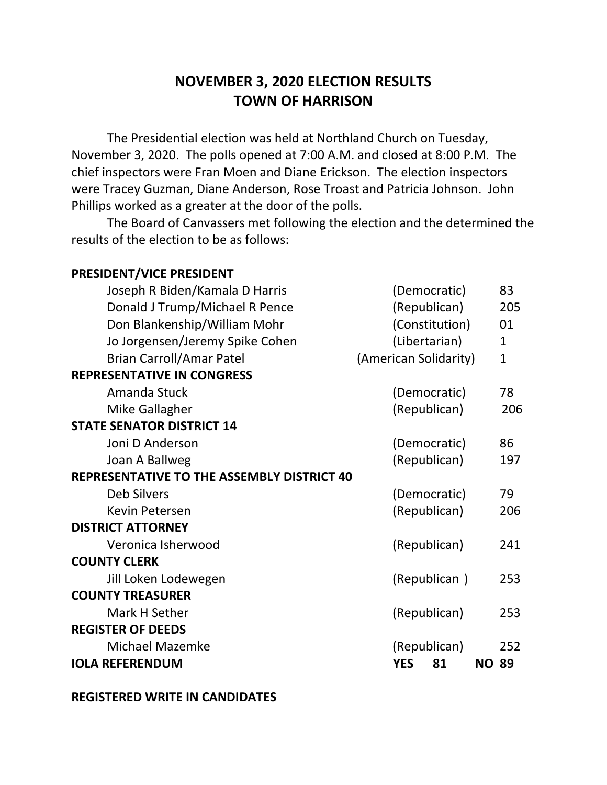## **NOVEMBER 3, 2020 ELECTION RESULTS TOWN OF HARRISON**

The Presidential election was held at Northland Church on Tuesday, November 3, 2020. The polls opened at 7:00 A.M. and closed at 8:00 P.M. The chief inspectors were Fran Moen and Diane Erickson. The election inspectors were Tracey Guzman, Diane Anderson, Rose Troast and Patricia Johnson. John Phillips worked as a greater at the door of the polls.

The Board of Canvassers met following the election and the determined the results of the election to be as follows:

| PRESIDENT/VICE PRESIDENT                   |                       |              |
|--------------------------------------------|-----------------------|--------------|
| Joseph R Biden/Kamala D Harris             | (Democratic)          | 83           |
| Donald J Trump/Michael R Pence             | (Republican)          | 205          |
| Don Blankenship/William Mohr               | (Constitution)        | 01           |
| Jo Jorgensen/Jeremy Spike Cohen            | (Libertarian)         | $\mathbf{1}$ |
| <b>Brian Carroll/Amar Patel</b>            | (American Solidarity) | $\mathbf{1}$ |
| <b>REPRESENTATIVE IN CONGRESS</b>          |                       |              |
| Amanda Stuck                               | (Democratic)          | 78           |
| Mike Gallagher                             | (Republican)          | 206          |
| <b>STATE SENATOR DISTRICT 14</b>           |                       |              |
| Joni D Anderson                            | (Democratic)          | 86           |
| Joan A Ballweg                             | (Republican)          | 197          |
| REPRESENTATIVE TO THE ASSEMBLY DISTRICT 40 |                       |              |
| <b>Deb Silvers</b>                         | (Democratic)          | 79           |
| Kevin Petersen                             | (Republican)          | 206          |
| <b>DISTRICT ATTORNEY</b>                   |                       |              |
| Veronica Isherwood                         | (Republican)          | 241          |
| <b>COUNTY CLERK</b>                        |                       |              |
| Jill Loken Lodewegen                       | (Republican)          | 253          |
| <b>COUNTY TREASURER</b>                    |                       |              |
| Mark H Sether                              | (Republican)          | 253          |
| <b>REGISTER OF DEEDS</b>                   |                       |              |
| <b>Michael Mazemke</b>                     | (Republican)          | 252          |
| <b>IOLA REFERENDUM</b>                     | <b>YES</b><br>81      | <b>NO 89</b> |
|                                            |                       |              |

**REGISTERED WRITE IN CANDIDATES**

**PRESIDENT/VICE PRESIDENT**